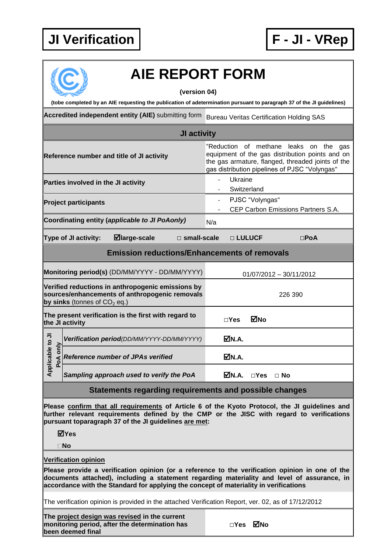## **JI Verification F - JI - VRep**



## **AIE REPORT FORM**

**(version 04)**

**(tobe completed by an AIE requesting the publication of adetermination pursuant to paragraph 37 of the JI guidelines)**

**Accredited independent entity (AIE)** submitting form Bureau Veritas Certification Holding SAS

| JI activity                                                                                                                                                                                                                                                                  |                                                                                                                                                                                                |                                                                                                                                                                                                    |  |  |  |
|------------------------------------------------------------------------------------------------------------------------------------------------------------------------------------------------------------------------------------------------------------------------------|------------------------------------------------------------------------------------------------------------------------------------------------------------------------------------------------|----------------------------------------------------------------------------------------------------------------------------------------------------------------------------------------------------|--|--|--|
| Reference number and title of JI activity                                                                                                                                                                                                                                    |                                                                                                                                                                                                | "Reduction of methane leaks on the<br>gas<br>equipment of the gas distribution points and on<br>the gas armature, flanged, threaded joints of the<br>gas distribution pipelines of PJSC "Volyngas" |  |  |  |
|                                                                                                                                                                                                                                                                              | Parties involved in the JI activity                                                                                                                                                            | Ukraine<br>Switzerland                                                                                                                                                                             |  |  |  |
|                                                                                                                                                                                                                                                                              | <b>Project participants</b>                                                                                                                                                                    | PJSC "Volyngas"<br>$\blacksquare$<br>CEP Carbon Emissions Partners S.A.                                                                                                                            |  |  |  |
|                                                                                                                                                                                                                                                                              | Coordinating entity (applicable to JI PoAonly)                                                                                                                                                 | N/a                                                                                                                                                                                                |  |  |  |
|                                                                                                                                                                                                                                                                              | $\blacksquare$ large-scale<br><b>Type of JI activity:</b>                                                                                                                                      | $\Box$ small-scale<br>□ LULUCF<br>$\square$ PoA                                                                                                                                                    |  |  |  |
| <b>Emission reductions/Enhancements of removals</b>                                                                                                                                                                                                                          |                                                                                                                                                                                                |                                                                                                                                                                                                    |  |  |  |
|                                                                                                                                                                                                                                                                              | Monitoring period(s) (DD/MM/YYYY - DD/MM/YYYY)                                                                                                                                                 | 01/07/2012 - 30/11/2012                                                                                                                                                                            |  |  |  |
|                                                                                                                                                                                                                                                                              | Verified reductions in anthropogenic emissions by<br>sources/enhancements of anthropogenic removals<br>by sinks (tonnes of $CO2$ eq.)                                                          | 226 390                                                                                                                                                                                            |  |  |  |
|                                                                                                                                                                                                                                                                              | The present verification is the first with regard to<br>the JI activity                                                                                                                        | ⊠No<br>$\square$ Yes                                                                                                                                                                               |  |  |  |
|                                                                                                                                                                                                                                                                              | Verification period(DD/MM/YYYY-DD/MM/YYYY)                                                                                                                                                     | MN.A.                                                                                                                                                                                              |  |  |  |
| Applicable to JI<br>only<br>PoA                                                                                                                                                                                                                                              | Reference number of JPAs verified                                                                                                                                                              | ØN.A.                                                                                                                                                                                              |  |  |  |
|                                                                                                                                                                                                                                                                              | Sampling approach used to verify the PoA                                                                                                                                                       | <b>⊠</b> N.A.<br>$\Box$ Yes $\Box$ No                                                                                                                                                              |  |  |  |
| Statements regarding requirements and possible changes                                                                                                                                                                                                                       |                                                                                                                                                                                                |                                                                                                                                                                                                    |  |  |  |
| Please confirm that all requirements of Article 6 of the Kyoto Protocol, the JI guidelines and<br>further relevant requirements defined by the CMP or the JISC with regard to verifications<br>pursuant toparagraph 37 of the JI guidelines are met:<br>⊠Yes<br>$\square$ No |                                                                                                                                                                                                |                                                                                                                                                                                                    |  |  |  |
| <b>Verification opinion</b>                                                                                                                                                                                                                                                  |                                                                                                                                                                                                |                                                                                                                                                                                                    |  |  |  |
|                                                                                                                                                                                                                                                                              | Please provide a verification opinion (or a reference to the verification opinion in one of the<br>documents attached), including a statement regarding materiality and level of assurance, in |                                                                                                                                                                                                    |  |  |  |

**accordance with the Standard for applying the concept of materiality in verifications**

The verification opinion is provided in the attached Verification Report, ver. 02, as of 17/12/2012

**The project design was revised in the current monitoring period, after the determination has been deemed final**